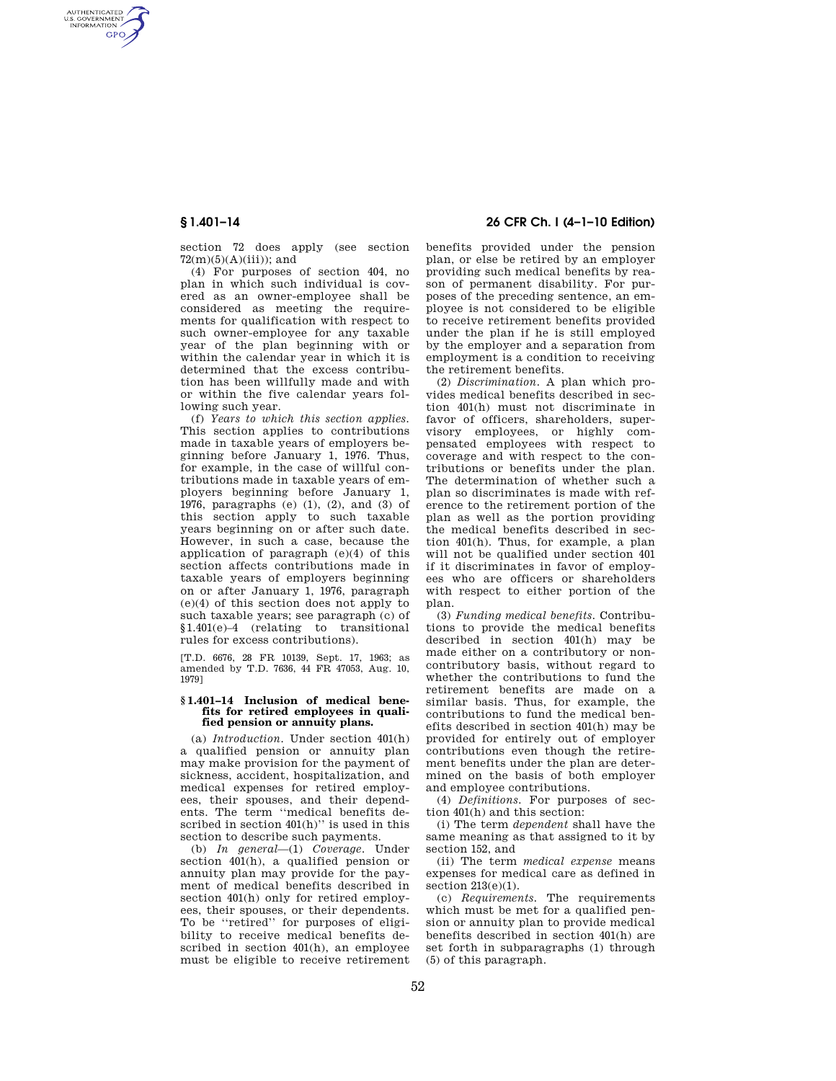AUTHENTICATED<br>U.S. GOVERNMENT<br>INFORMATION **GPO** 

> section 72 does apply (see section  $72(m)(5)(A)(iii)$ ; and

(4) For purposes of section 404, no plan in which such individual is covered as an owner-employee shall be considered as meeting the requirements for qualification with respect to such owner-employee for any taxable year of the plan beginning with or within the calendar year in which it is determined that the excess contribution has been willfully made and with or within the five calendar years following such year.

(f) *Years to which this section applies.*  This section applies to contributions made in taxable years of employers beginning before January 1, 1976. Thus, for example, in the case of willful contributions made in taxable years of employers beginning before January 1, 1976, paragraphs (e) (1), (2), and (3) of this section apply to such taxable years beginning on or after such date. However, in such a case, because the application of paragraph (e)(4) of this section affects contributions made in taxable years of employers beginning on or after January 1, 1976, paragraph (e)(4) of this section does not apply to such taxable years; see paragraph (c) of §1.401(e)–4 (relating to transitional rules for excess contributions).

[T.D. 6676, 28 FR 10139, Sept. 17, 1963; as amended by T.D. 7636, 44 FR 47053, Aug. 10, 1979]

## **§ 1.401–14 Inclusion of medical benefits for retired employees in qualified pension or annuity plans.**

(a) *Introduction.* Under section 401(h) a qualified pension or annuity plan may make provision for the payment of sickness, accident, hospitalization, and medical expenses for retired employees, their spouses, and their dependents. The term ''medical benefits described in section  $401(h)$ " is used in this section to describe such payments.

(b) *In general*—(1) *Coverage.* Under section 401(h), a qualified pension or annuity plan may provide for the payment of medical benefits described in section 401(h) only for retired employees, their spouses, or their dependents. To be ''retired'' for purposes of eligibility to receive medical benefits described in section 401(h), an employee must be eligible to receive retirement

# **§ 1.401–14 26 CFR Ch. I (4–1–10 Edition)**

benefits provided under the pension plan, or else be retired by an employer providing such medical benefits by reason of permanent disability. For purposes of the preceding sentence, an employee is not considered to be eligible to receive retirement benefits provided under the plan if he is still employed by the employer and a separation from employment is a condition to receiving the retirement benefits.

(2) *Discrimination.* A plan which provides medical benefits described in section 401(h) must not discriminate in favor of officers, shareholders, supervisory employees, or highly compensated employees with respect to coverage and with respect to the contributions or benefits under the plan. The determination of whether such a plan so discriminates is made with reference to the retirement portion of the plan as well as the portion providing the medical benefits described in section 401(h). Thus, for example, a plan will not be qualified under section 401 if it discriminates in favor of employees who are officers or shareholders with respect to either portion of the plan.

(3) *Funding medical benefits.* Contributions to provide the medical benefits described in section 401(h) may be made either on a contributory or noncontributory basis, without regard to whether the contributions to fund the retirement benefits are made on a similar basis. Thus, for example, the contributions to fund the medical benefits described in section 401(h) may be provided for entirely out of employer contributions even though the retirement benefits under the plan are determined on the basis of both employer and employee contributions.

(4) *Definitions.* For purposes of section 401(h) and this section:

(i) The term *dependent* shall have the same meaning as that assigned to it by section 152, and

(ii) The term *medical expense* means expenses for medical care as defined in section 213(e)(1).

(c) *Requirements.* The requirements which must be met for a qualified pension or annuity plan to provide medical benefits described in section 401(h) are set forth in subparagraphs (1) through (5) of this paragraph.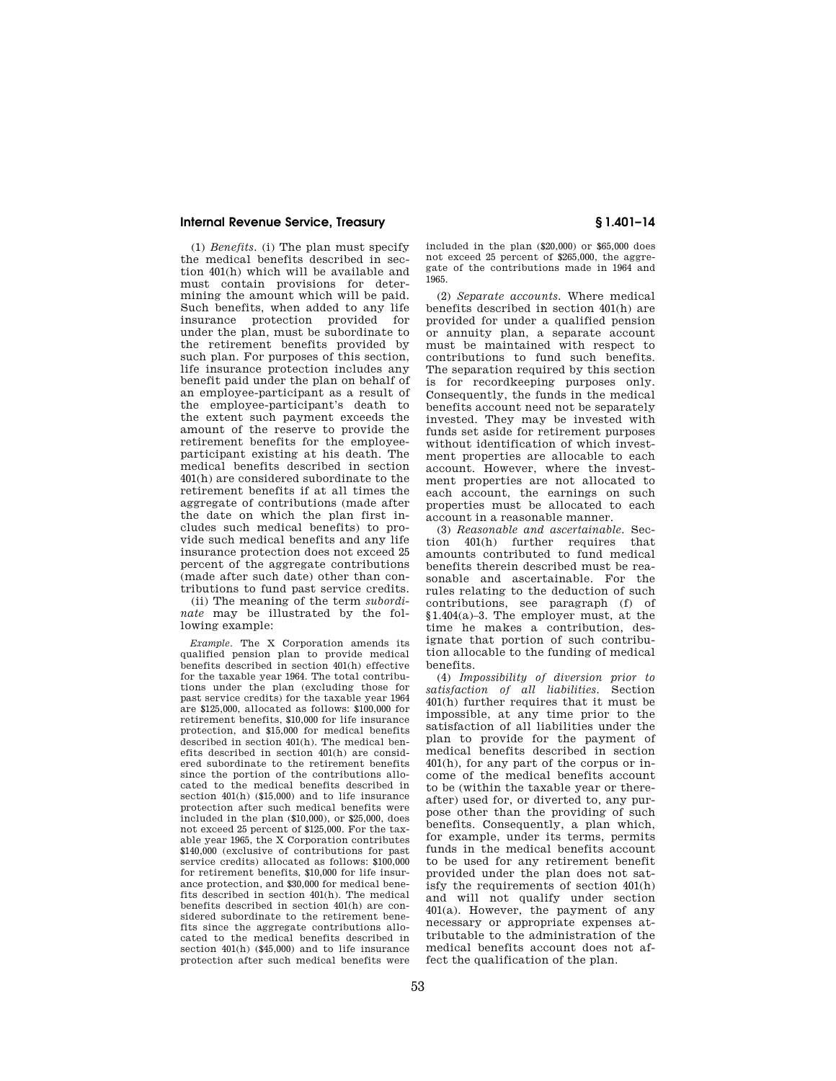# **Internal Revenue Service, Treasury § 1.401–14**

(1) *Benefits.* (i) The plan must specify the medical benefits described in section 401(h) which will be available and must contain provisions for determining the amount which will be paid. Such benefits, when added to any life insurance protection provided for under the plan, must be subordinate to the retirement benefits provided by such plan. For purposes of this section, life insurance protection includes any benefit paid under the plan on behalf of an employee-participant as a result of the employee-participant's death to the extent such payment exceeds the amount of the reserve to provide the retirement benefits for the employeeparticipant existing at his death. The medical benefits described in section 401(h) are considered subordinate to the retirement benefits if at all times the aggregate of contributions (made after the date on which the plan first includes such medical benefits) to provide such medical benefits and any life insurance protection does not exceed 25 percent of the aggregate contributions (made after such date) other than contributions to fund past service credits.

(ii) The meaning of the term *subordinate* may be illustrated by the following example:

*Example.* The X Corporation amends its qualified pension plan to provide medical benefits described in section 401(h) effective for the taxable year 1964. The total contributions under the plan (excluding those for past service credits) for the taxable year 1964 are \$125,000, allocated as follows: \$100,000 for retirement benefits, \$10,000 for life insurance protection, and \$15,000 for medical benefits described in section 401(h). The medical benefits described in section 401(h) are considered subordinate to the retirement benefits since the portion of the contributions allocated to the medical benefits described in section 401(h) (\$15,000) and to life insurance protection after such medical benefits were included in the plan (\$10,000), or \$25,000, does not exceed 25 percent of \$125,000. For the taxable year 1965, the X Corporation contributes \$140,000 (exclusive of contributions for past service credits) allocated as follows: \$100,000 for retirement benefits, \$10,000 for life insurance protection, and \$30,000 for medical benefits described in section 401(h). The medical benefits described in section 401(h) are considered subordinate to the retirement benefits since the aggregate contributions allocated to the medical benefits described in section 401(h) (\$45,000) and to life insurance protection after such medical benefits were

included in the plan (\$20,000) or \$65,000 does not exceed 25 percent of \$265,000, the aggregate of the contributions made in 1964 and 1965.

(2) *Separate accounts.* Where medical benefits described in section 401(h) are provided for under a qualified pension or annuity plan, a separate account must be maintained with respect to contributions to fund such benefits. The separation required by this section is for recordkeeping purposes only. Consequently, the funds in the medical benefits account need not be separately invested. They may be invested with funds set aside for retirement purposes without identification of which investment properties are allocable to each account. However, where the investment properties are not allocated to each account, the earnings on such properties must be allocated to each account in a reasonable manner.

(3) *Reasonable and ascertainable.* Section 401(h) further requires that amounts contributed to fund medical benefits therein described must be reasonable and ascertainable. For the rules relating to the deduction of such contributions, see paragraph (f) of §1.404(a)–3. The employer must, at the time he makes a contribution, designate that portion of such contribution allocable to the funding of medical benefits.

(4) *Impossibility of diversion prior to satisfaction of all liabilities.* Section 401(h) further requires that it must be impossible, at any time prior to the satisfaction of all liabilities under the plan to provide for the payment of medical benefits described in section 401(h), for any part of the corpus or income of the medical benefits account to be (within the taxable year or thereafter) used for, or diverted to, any purpose other than the providing of such benefits. Consequently, a plan which, for example, under its terms, permits funds in the medical benefits account to be used for any retirement benefit provided under the plan does not satisfy the requirements of section 401(h) and will not qualify under section 401(a). However, the payment of any necessary or appropriate expenses attributable to the administration of the medical benefits account does not affect the qualification of the plan.